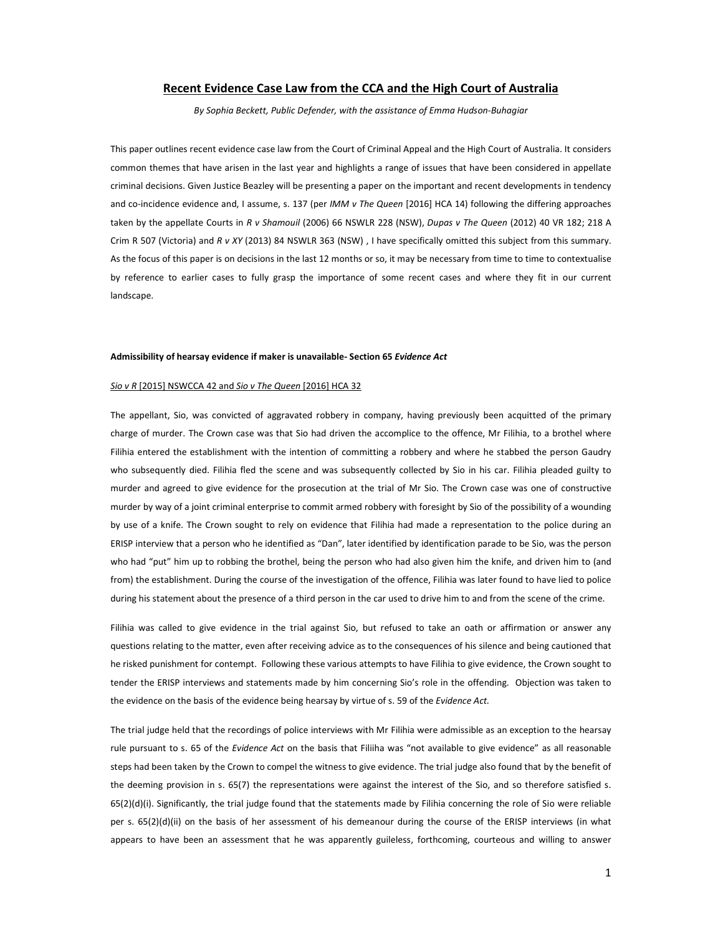# **Recent Evidence Case Law from the CCA and the High Court of Australia**

*By Sophia Beckett, Public Defender, with the assistance of Emma Hudson-Buhagiar* 

This paper outlines recent evidence case law from the Court of Criminal Appeal and the High Court of Australia. It considers common themes that have arisen in the last year and highlights a range of issues that have been considered in appellate criminal decisions. Given Justice Beazley will be presenting a paper on the important and recent developments in tendency and co-incidence evidence and, I assume, s. 137 (per *IMM v The Queen* [2016] HCA 14) following the differing approaches taken by the appellate Courts in *R v Shamouil* (2006) 66 NSWLR 228 (NSW), *Dupas v The Queen* (2012) 40 VR 182; 218 A Crim R 507 (Victoria) and *R v XY* (2013) 84 NSWLR 363 (NSW) , I have specifically omitted this subject from this summary. As the focus of this paper is on decisions in the last 12 months or so, it may be necessary from time to time to contextualise by reference to earlier cases to fully grasp the importance of some recent cases and where they fit in our current landscape.

#### **Admissibility of hearsay evidence if maker is unavailable- Section 65** *Evidence Act*

#### *Sio v R* [2015] NSWCCA 42 and *Sio v The Queen* [2016] HCA 32

The appellant, Sio, was convicted of aggravated robbery in company, having previously been acquitted of the primary charge of murder. The Crown case was that Sio had driven the accomplice to the offence, Mr Filihia, to a brothel where Filihia entered the establishment with the intention of committing a robbery and where he stabbed the person Gaudry who subsequently died. Filihia fled the scene and was subsequently collected by Sio in his car. Filihia pleaded guilty to murder and agreed to give evidence for the prosecution at the trial of Mr Sio. The Crown case was one of constructive murder by way of a joint criminal enterprise to commit armed robbery with foresight by Sio of the possibility of a wounding by use of a knife. The Crown sought to rely on evidence that Filihia had made a representation to the police during an ERISP interview that a person who he identified as "Dan", later identified by identification parade to be Sio, was the person who had "put" him up to robbing the brothel, being the person who had also given him the knife, and driven him to (and from) the establishment. During the course of the investigation of the offence, Filihia was later found to have lied to police during his statement about the presence of a third person in the car used to drive him to and from the scene of the crime.

Filihia was called to give evidence in the trial against Sio, but refused to take an oath or affirmation or answer any questions relating to the matter, even after receiving advice as to the consequences of his silence and being cautioned that he risked punishment for contempt. Following these various attempts to have Filihia to give evidence, the Crown sought to tender the ERISP interviews and statements made by him concerning Sio's role in the offending. Objection was taken to the evidence on the basis of the evidence being hearsay by virtue of s. 59 of the *Evidence Act.*

The trial judge held that the recordings of police interviews with Mr Filihia were admissible as an exception to the hearsay rule pursuant to s. 65 of the *Evidence Act* on the basis that Filiiha was "not available to give evidence" as all reasonable steps had been taken by the Crown to compel the witness to give evidence. The trial judge also found that by the benefit of the deeming provision in s. 65(7) the representations were against the interest of the Sio, and so therefore satisfied s. 65(2)(d)(i). Significantly, the trial judge found that the statements made by Filihia concerning the role of Sio were reliable per s. 65(2)(d)(ii) on the basis of her assessment of his demeanour during the course of the ERISP interviews (in what appears to have been an assessment that he was apparently guileless, forthcoming, courteous and willing to answer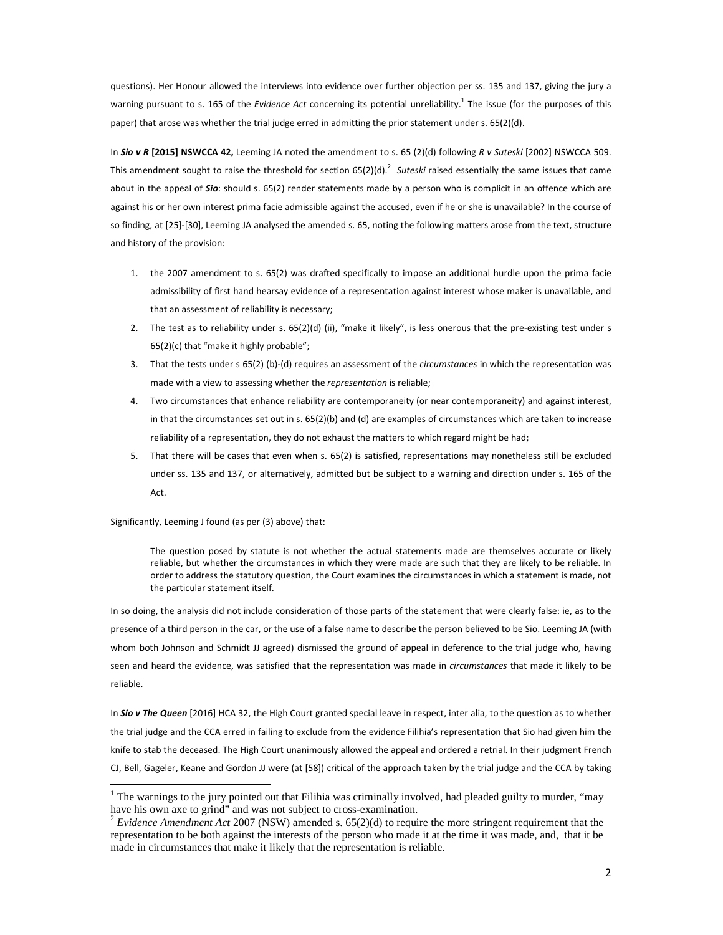questions). Her Honour allowed the interviews into evidence over further objection per ss. 135 and 137, giving the jury a warning pursuant to s. 165 of the *Evidence Act* concerning its potential unreliability.<sup>1</sup> The issue (for the purposes of this paper) that arose was whether the trial judge erred in admitting the prior statement under s. 65(2)(d).

In *Sio v R* **[2015] NSWCCA 42,** Leeming JA noted the amendment to s. 65 (2)(d) following *R v Suteski* [2002] NSWCCA 509. This amendment sought to raise the threshold for section 65(2)(d).<sup>2</sup> Suteski raised essentially the same issues that came about in the appeal of *Sio*: should s. 65(2) render statements made by a person who is complicit in an offence which are against his or her own interest prima facie admissible against the accused, even if he or she is unavailable? In the course of so finding, at [25]-[30], Leeming JA analysed the amended s. 65, noting the following matters arose from the text, structure and history of the provision:

- 1. the 2007 amendment to s. 65(2) was drafted specifically to impose an additional hurdle upon the prima facie admissibility of first hand hearsay evidence of a representation against interest whose maker is unavailable, and that an assessment of reliability is necessary;
- 2. The test as to reliability under s.  $65(2)(d)$  (ii), "make it likely", is less onerous that the pre-existing test under s  $65(2)(c)$  that "make it highly probable";
- 3. That the tests under s 65(2) (b)-(d) requires an assessment of the *circumstances* in which the representation was made with a view to assessing whether the *representation* is reliable;
- 4. Two circumstances that enhance reliability are contemporaneity (or near contemporaneity) and against interest, in that the circumstances set out in s. 65(2)(b) and (d) are examples of circumstances which are taken to increase reliability of a representation, they do not exhaust the matters to which regard might be had;
- 5. That there will be cases that even when s. 65(2) is satisfied, representations may nonetheless still be excluded under ss. 135 and 137, or alternatively, admitted but be subject to a warning and direction under s. 165 of the Act.

Significantly, Leeming J found (as per (3) above) that:

l,

The question posed by statute is not whether the actual statements made are themselves accurate or likely reliable, but whether the circumstances in which they were made are such that they are likely to be reliable. In order to address the statutory question, the Court examines the circumstances in which a statement is made, not the particular statement itself.

In so doing, the analysis did not include consideration of those parts of the statement that were clearly false: ie, as to the presence of a third person in the car, or the use of a false name to describe the person believed to be Sio. Leeming JA (with whom both Johnson and Schmidt JJ agreed) dismissed the ground of appeal in deference to the trial judge who, having seen and heard the evidence, was satisfied that the representation was made in *circumstances* that made it likely to be reliable.

In *Sio v The Queen* [2016] HCA 32, the High Court granted special leave in respect, inter alia, to the question as to whether the trial judge and the CCA erred in failing to exclude from the evidence Filihia's representation that Sio had given him the knife to stab the deceased. The High Court unanimously allowed the appeal and ordered a retrial. In their judgment French CJ, Bell, Gageler, Keane and Gordon JJ were (at [58]) critical of the approach taken by the trial judge and the CCA by taking

<sup>&</sup>lt;sup>1</sup> The warnings to the jury pointed out that Filihia was criminally involved, had pleaded guilty to murder, "may have his own axe to grind" and was not subject to cross-examination.

<sup>2</sup> *Evidence Amendment Act* 2007 (NSW) amended s. 65(2)(d) to require the more stringent requirement that the representation to be both against the interests of the person who made it at the time it was made, and, that it be made in circumstances that make it likely that the representation is reliable.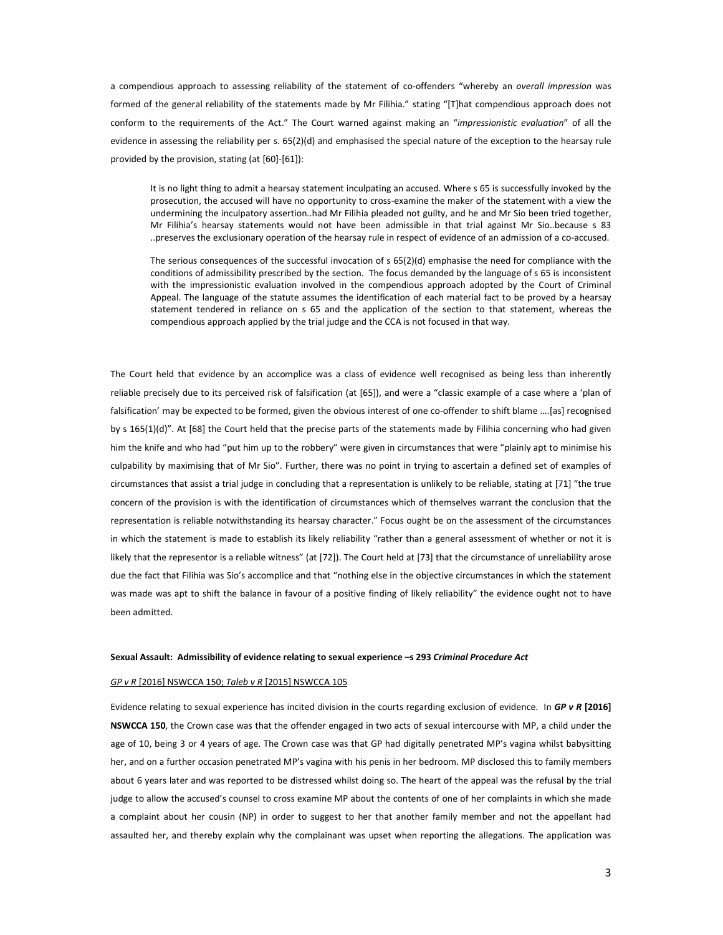a compendious approach to assessing reliability of the statement of co-offenders "whereby an *overall impression* was formed of the general reliability of the statements made by Mr Filihia." stating "[T]hat compendious approach does not conform to the requirements of the Act." The Court warned against making an "*impressionistic evaluation*" of all the evidence in assessing the reliability per s. 65(2)(d) and emphasised the special nature of the exception to the hearsay rule provided by the provision, stating (at [60]-[61]):

It is no light thing to admit a hearsay statement inculpating an accused. Where s 65 is successfully invoked by the prosecution, the accused will have no opportunity to cross-examine the maker of the statement with a view the undermining the inculpatory assertion..had Mr Filihia pleaded not guilty, and he and Mr Sio been tried together, Mr Filihia's hearsay statements would not have been admissible in that trial against Mr Sio..because s 83 ..preserves the exclusionary operation of the hearsay rule in respect of evidence of an admission of a co-accused.

The serious consequences of the successful invocation of s 65(2)(d) emphasise the need for compliance with the conditions of admissibility prescribed by the section. The focus demanded by the language of s 65 is inconsistent with the impressionistic evaluation involved in the compendious approach adopted by the Court of Criminal Appeal. The language of the statute assumes the identification of each material fact to be proved by a hearsay statement tendered in reliance on s 65 and the application of the section to that statement, whereas the compendious approach applied by the trial judge and the CCA is not focused in that way.

The Court held that evidence by an accomplice was a class of evidence well recognised as being less than inherently reliable precisely due to its perceived risk of falsification (at [65]), and were a "classic example of a case where a 'plan of falsification' may be expected to be formed, given the obvious interest of one co-offender to shift blame ….[as] recognised by s 165(1)(d)". At [68] the Court held that the precise parts of the statements made by Filihia concerning who had given him the knife and who had "put him up to the robbery" were given in circumstances that were "plainly apt to minimise his culpability by maximising that of Mr Sio". Further, there was no point in trying to ascertain a defined set of examples of circumstances that assist a trial judge in concluding that a representation is unlikely to be reliable, stating at [71] "the true concern of the provision is with the identification of circumstances which of themselves warrant the conclusion that the representation is reliable notwithstanding its hearsay character." Focus ought be on the assessment of the circumstances in which the statement is made to establish its likely reliability "rather than a general assessment of whether or not it is likely that the representor is a reliable witness" (at [72]). The Court held at [73] that the circumstance of unreliability arose due the fact that Filihia was Sio's accomplice and that "nothing else in the objective circumstances in which the statement was made was apt to shift the balance in favour of a positive finding of likely reliability" the evidence ought not to have been admitted.

#### **Sexual Assault: Admissibility of evidence relating to sexual experience –s 293** *Criminal Procedure Act*

# *GP v R* [2016] NSWCCA 150; *Taleb v R* [2015] NSWCCA 105

Evidence relating to sexual experience has incited division in the courts regarding exclusion of evidence. In *GP v R* **[2016] NSWCCA 150**, the Crown case was that the offender engaged in two acts of sexual intercourse with MP, a child under the age of 10, being 3 or 4 years of age. The Crown case was that GP had digitally penetrated MP's vagina whilst babysitting her, and on a further occasion penetrated MP's vagina with his penis in her bedroom. MP disclosed this to family members about 6 years later and was reported to be distressed whilst doing so. The heart of the appeal was the refusal by the trial judge to allow the accused's counsel to cross examine MP about the contents of one of her complaints in which she made a complaint about her cousin (NP) in order to suggest to her that another family member and not the appellant had assaulted her, and thereby explain why the complainant was upset when reporting the allegations. The application was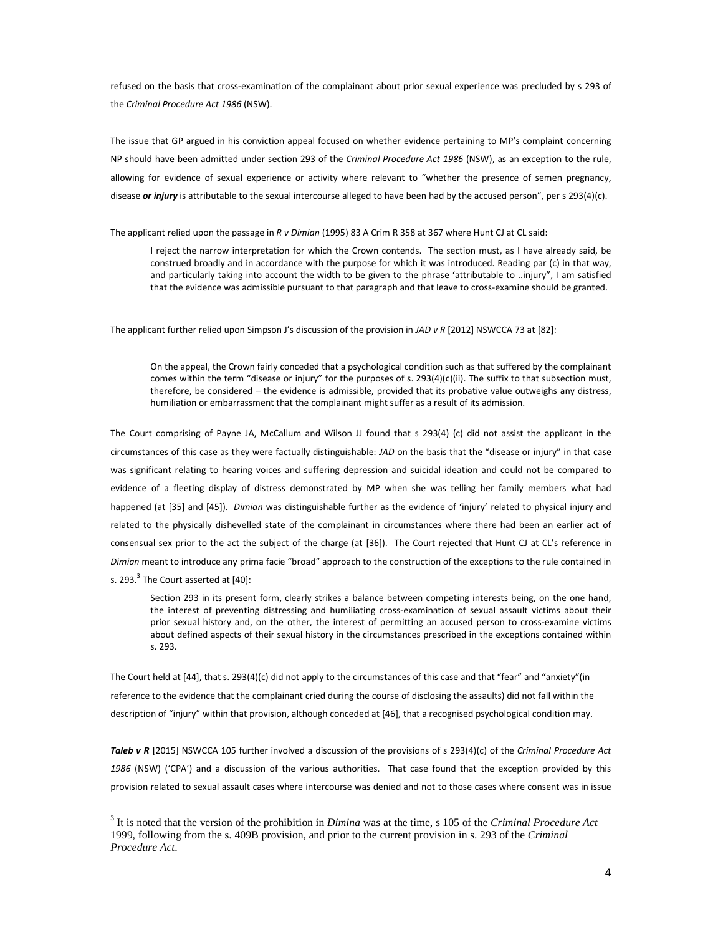refused on the basis that cross-examination of the complainant about prior sexual experience was precluded by s 293 of the *Criminal Procedure Act 1986* (NSW).

The issue that GP argued in his conviction appeal focused on whether evidence pertaining to MP's complaint concerning NP should have been admitted under section 293 of the *Criminal Procedure Act 1986* (NSW), as an exception to the rule, allowing for evidence of sexual experience or activity where relevant to "whether the presence of semen pregnancy, disease *or injury* is attributable to the sexual intercourse alleged to have been had by the accused person", per s 293(4)(c).

The applicant relied upon the passage in *R v Dimian* (1995) 83 A Crim R 358 at 367 where Hunt CJ at CL said:

I reject the narrow interpretation for which the Crown contends. The section must, as I have already said, be construed broadly and in accordance with the purpose for which it was introduced. Reading par (c) in that way, and particularly taking into account the width to be given to the phrase 'attributable to ..injury", I am satisfied that the evidence was admissible pursuant to that paragraph and that leave to cross-examine should be granted.

The applicant further relied upon Simpson J's discussion of the provision in *JAD v R* [2012] NSWCCA 73 at [82]:

On the appeal, the Crown fairly conceded that a psychological condition such as that suffered by the complainant comes within the term "disease or injury" for the purposes of s. 293(4)(c)(ii). The suffix to that subsection must, therefore, be considered – the evidence is admissible, provided that its probative value outweighs any distress, humiliation or embarrassment that the complainant might suffer as a result of its admission.

The Court comprising of Payne JA, McCallum and Wilson JJ found that s 293(4) (c) did not assist the applicant in the circumstances of this case as they were factually distinguishable: *JAD* on the basis that the "disease or injury" in that case was significant relating to hearing voices and suffering depression and suicidal ideation and could not be compared to evidence of a fleeting display of distress demonstrated by MP when she was telling her family members what had happened (at [35] and [45]). *Dimian* was distinguishable further as the evidence of 'injury' related to physical injury and related to the physically dishevelled state of the complainant in circumstances where there had been an earlier act of consensual sex prior to the act the subject of the charge (at [36]). The Court rejected that Hunt CJ at CL's reference in *Dimian* meant to introduce any prima facie "broad" approach to the construction of the exceptions to the rule contained in s. 293. $^3$  The Court asserted at [40]:

Section 293 in its present form, clearly strikes a balance between competing interests being, on the one hand, the interest of preventing distressing and humiliating cross-examination of sexual assault victims about their prior sexual history and, on the other, the interest of permitting an accused person to cross-examine victims about defined aspects of their sexual history in the circumstances prescribed in the exceptions contained within s. 293.

The Court held at [44], that s. 293(4)(c) did not apply to the circumstances of this case and that "fear" and "anxiety"(in reference to the evidence that the complainant cried during the course of disclosing the assaults) did not fall within the description of "injury" within that provision, although conceded at [46], that a recognised psychological condition may.

*Taleb v R* [2015] NSWCCA 105 further involved a discussion of the provisions of s 293(4)(c) of the *Criminal Procedure Act 1986* (NSW) ('CPA') and a discussion of the various authorities. That case found that the exception provided by this provision related to sexual assault cases where intercourse was denied and not to those cases where consent was in issue

 $\overline{a}$ 

<sup>3</sup> It is noted that the version of the prohibition in *Dimina* was at the time, s 105 of the *Criminal Procedure Act* 1999, following from the s. 409B provision, and prior to the current provision in s. 293 of the *Criminal Procedure Act*.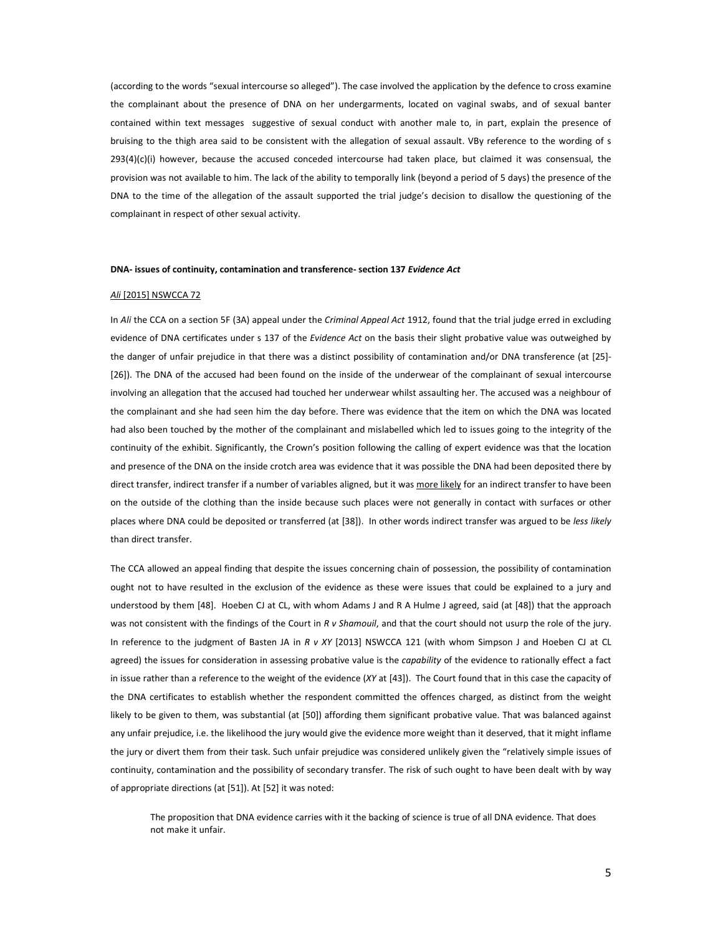(according to the words "sexual intercourse so alleged"). The case involved the application by the defence to cross examine the complainant about the presence of DNA on her undergarments, located on vaginal swabs, and of sexual banter contained within text messages suggestive of sexual conduct with another male to, in part, explain the presence of bruising to the thigh area said to be consistent with the allegation of sexual assault. VBy reference to the wording of s  $293(4)(c)(i)$  however, because the accused conceded intercourse had taken place, but claimed it was consensual, the provision was not available to him. The lack of the ability to temporally link (beyond a period of 5 days) the presence of the DNA to the time of the allegation of the assault supported the trial judge's decision to disallow the questioning of the complainant in respect of other sexual activity.

#### **DNA- issues of continuity, contamination and transference- section 137** *Evidence Act*

#### *Ali* [2015] NSWCCA 72

In *Ali* the CCA on a section 5F (3A) appeal under the *Criminal Appeal Act* 1912, found that the trial judge erred in excluding evidence of DNA certificates under s 137 of the *Evidence Act* on the basis their slight probative value was outweighed by the danger of unfair prejudice in that there was a distinct possibility of contamination and/or DNA transference (at [25]- [26]). The DNA of the accused had been found on the inside of the underwear of the complainant of sexual intercourse involving an allegation that the accused had touched her underwear whilst assaulting her. The accused was a neighbour of the complainant and she had seen him the day before. There was evidence that the item on which the DNA was located had also been touched by the mother of the complainant and mislabelled which led to issues going to the integrity of the continuity of the exhibit. Significantly, the Crown's position following the calling of expert evidence was that the location and presence of the DNA on the inside crotch area was evidence that it was possible the DNA had been deposited there by direct transfer, indirect transfer if a number of variables aligned, but it was more likely for an indirect transfer to have been on the outside of the clothing than the inside because such places were not generally in contact with surfaces or other places where DNA could be deposited or transferred (at [38]). In other words indirect transfer was argued to be *less likely* than direct transfer.

The CCA allowed an appeal finding that despite the issues concerning chain of possession, the possibility of contamination ought not to have resulted in the exclusion of the evidence as these were issues that could be explained to a jury and understood by them [48]. Hoeben CJ at CL, with whom Adams J and R A Hulme J agreed, said (at [48]) that the approach was not consistent with the findings of the Court in *R v Shamouil*, and that the court should not usurp the role of the jury. In reference to the judgment of Basten JA in *R v XY* [2013] NSWCCA 121 (with whom Simpson J and Hoeben CJ at CL agreed) the issues for consideration in assessing probative value is the *capability* of the evidence to rationally effect a fact in issue rather than a reference to the weight of the evidence (*XY* at [43]). The Court found that in this case the capacity of the DNA certificates to establish whether the respondent committed the offences charged, as distinct from the weight likely to be given to them, was substantial (at [50]) affording them significant probative value. That was balanced against any unfair prejudice, i.e. the likelihood the jury would give the evidence more weight than it deserved, that it might inflame the jury or divert them from their task. Such unfair prejudice was considered unlikely given the "relatively simple issues of continuity, contamination and the possibility of secondary transfer. The risk of such ought to have been dealt with by way of appropriate directions (at [51]). At [52] it was noted:

The proposition that DNA evidence carries with it the backing of science is true of all DNA evidence. That does not make it unfair.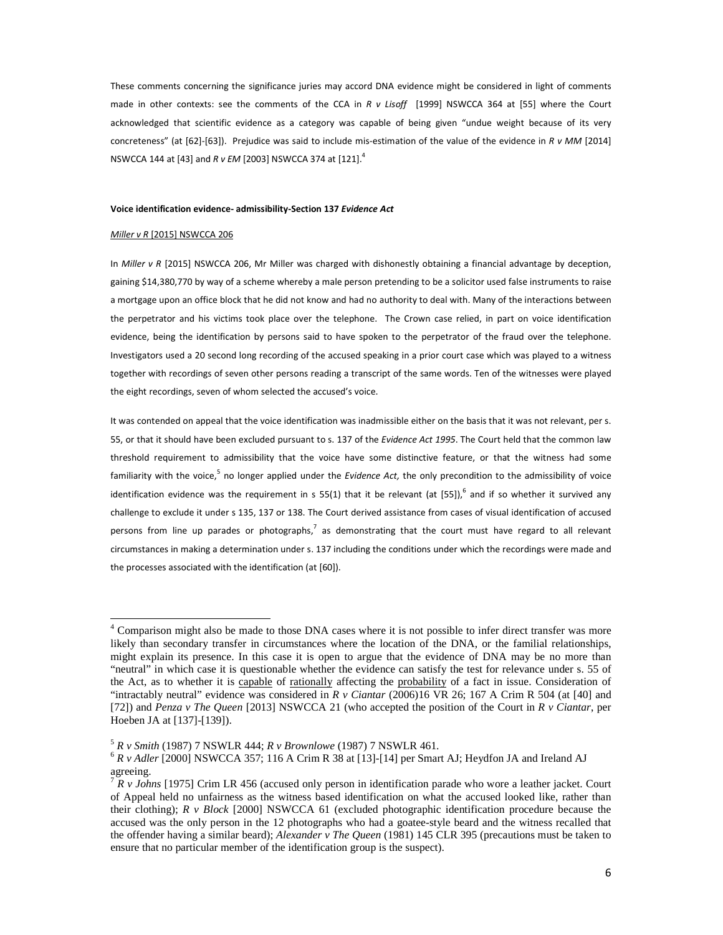These comments concerning the significance juries may accord DNA evidence might be considered in light of comments made in other contexts: see the comments of the CCA in *R v Lisoff* [1999] NSWCCA 364 at [55] where the Court acknowledged that scientific evidence as a category was capable of being given "undue weight because of its very concreteness" (at [62]-[63]). Prejudice was said to include mis-estimation of the value of the evidence in *R v MM* [2014] NSWCCA 144 at [43] and *R v EM* [2003] NSWCCA 374 at [121].<sup>4</sup>

## **Voice identification evidence- admissibility-Section 137** *Evidence Act*

## *Miller v R* [2015] NSWCCA 206

1

In *Miller v R* [2015] NSWCCA 206, Mr Miller was charged with dishonestly obtaining a financial advantage by deception, gaining \$14,380,770 by way of a scheme whereby a male person pretending to be a solicitor used false instruments to raise a mortgage upon an office block that he did not know and had no authority to deal with. Many of the interactions between the perpetrator and his victims took place over the telephone. The Crown case relied, in part on voice identification evidence, being the identification by persons said to have spoken to the perpetrator of the fraud over the telephone. Investigators used a 20 second long recording of the accused speaking in a prior court case which was played to a witness together with recordings of seven other persons reading a transcript of the same words. Ten of the witnesses were played the eight recordings, seven of whom selected the accused's voice.

It was contended on appeal that the voice identification was inadmissible either on the basis that it was not relevant, per s. 55, or that it should have been excluded pursuant to s. 137 of the *Evidence Act 1995*. The Court held that the common law threshold requirement to admissibility that the voice have some distinctive feature, or that the witness had some familiarity with the voice,<sup>5</sup> no longer applied under the *Evidence Act*, the only precondition to the admissibility of voice identification evidence was the requirement in s 55(1) that it be relevant (at [55]), $^6$  and if so whether it survived any challenge to exclude it under s 135, 137 or 138. The Court derived assistance from cases of visual identification of accused persons from line up parades or photographs,<sup>7</sup> as demonstrating that the court must have regard to all relevant circumstances in making a determination under s. 137 including the conditions under which the recordings were made and the processes associated with the identification (at [60]).

<sup>&</sup>lt;sup>4</sup> Comparison might also be made to those DNA cases where it is not possible to infer direct transfer was more likely than secondary transfer in circumstances where the location of the DNA, or the familial relationships, might explain its presence. In this case it is open to argue that the evidence of DNA may be no more than "neutral" in which case it is questionable whether the evidence can satisfy the test for relevance under s. 55 of the Act, as to whether it is capable of rationally affecting the probability of a fact in issue. Consideration of "intractably neutral" evidence was considered in *R v Ciantar* (2006)16 VR 26; 167 A Crim R 504 (at [40] and [72]) and *Penza v The Queen* [2013] NSWCCA 21 (who accepted the position of the Court in *R v Ciantar*, per Hoeben JA at [137]-[139]).

<sup>5</sup> *R v Smith* (1987) 7 NSWLR 444; *R v Brownlowe* (1987) 7 NSWLR 461.

<sup>6</sup> *R v Adler* [2000] NSWCCA 357; 116 A Crim R 38 at [13]-[14] per Smart AJ; Heydfon JA and Ireland AJ agreeing.

<sup>&</sup>lt;sup>7</sup> *R v Johns* [1975] Crim LR 456 (accused only person in identification parade who wore a leather jacket. Court of Appeal held no unfairness as the witness based identification on what the accused looked like, rather than their clothing); *R v Block* [2000] NSWCCA 61 (excluded photographic identification procedure because the accused was the only person in the 12 photographs who had a goatee-style beard and the witness recalled that the offender having a similar beard); *Alexander v The Queen* (1981) 145 CLR 395 (precautions must be taken to ensure that no particular member of the identification group is the suspect).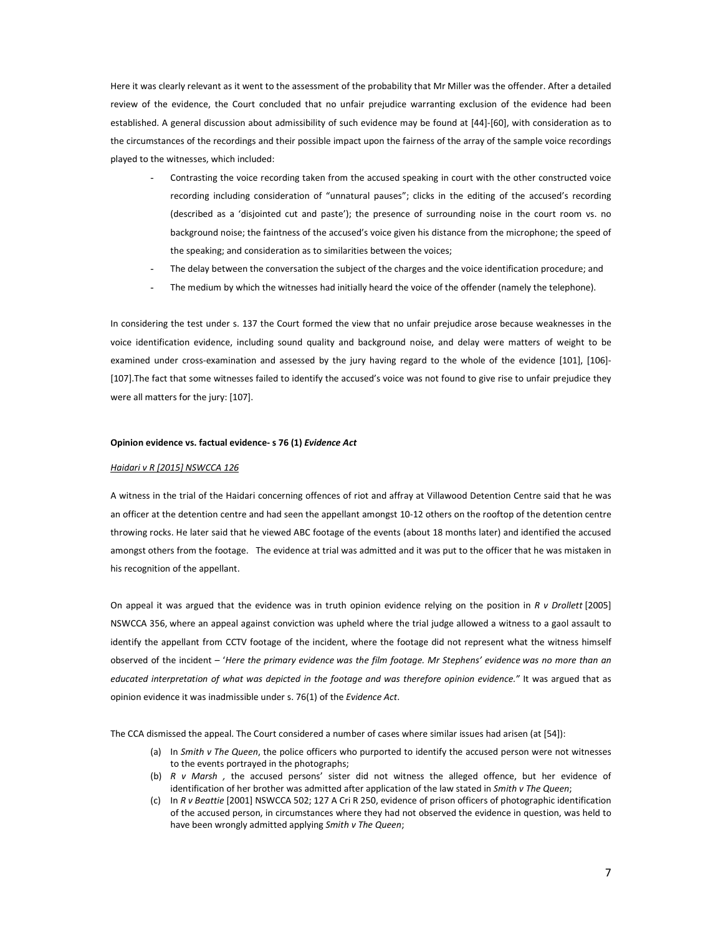Here it was clearly relevant as it went to the assessment of the probability that Mr Miller was the offender. After a detailed review of the evidence, the Court concluded that no unfair prejudice warranting exclusion of the evidence had been established. A general discussion about admissibility of such evidence may be found at [44]-[60], with consideration as to the circumstances of the recordings and their possible impact upon the fairness of the array of the sample voice recordings played to the witnesses, which included:

- Contrasting the voice recording taken from the accused speaking in court with the other constructed voice recording including consideration of "unnatural pauses"; clicks in the editing of the accused's recording (described as a 'disjointed cut and paste'); the presence of surrounding noise in the court room vs. no background noise; the faintness of the accused's voice given his distance from the microphone; the speed of the speaking; and consideration as to similarities between the voices;
- The delay between the conversation the subject of the charges and the voice identification procedure; and
- The medium by which the witnesses had initially heard the voice of the offender (namely the telephone).

In considering the test under s. 137 the Court formed the view that no unfair prejudice arose because weaknesses in the voice identification evidence, including sound quality and background noise, and delay were matters of weight to be examined under cross-examination and assessed by the jury having regard to the whole of the evidence [101], [106]- [107].The fact that some witnesses failed to identify the accused's voice was not found to give rise to unfair prejudice they were all matters for the jury: [107].

### **Opinion evidence vs. factual evidence- s 76 (1)** *Evidence Act*

#### *Haidari v R [2015] NSWCCA 126*

A witness in the trial of the Haidari concerning offences of riot and affray at Villawood Detention Centre said that he was an officer at the detention centre and had seen the appellant amongst 10-12 others on the rooftop of the detention centre throwing rocks. He later said that he viewed ABC footage of the events (about 18 months later) and identified the accused amongst others from the footage. The evidence at trial was admitted and it was put to the officer that he was mistaken in his recognition of the appellant.

On appeal it was argued that the evidence was in truth opinion evidence relying on the position in *R v Drollett* [2005] NSWCCA 356, where an appeal against conviction was upheld where the trial judge allowed a witness to a gaol assault to identify the appellant from CCTV footage of the incident, where the footage did not represent what the witness himself observed of the incident – '*Here the primary evidence was the film footage. Mr Stephens' evidence was no more than an educated interpretation of what was depicted in the footage and was therefore opinion evidence."* It was argued that as opinion evidence it was inadmissible under s. 76(1) of the *Evidence Act*.

The CCA dismissed the appeal. The Court considered a number of cases where similar issues had arisen (at [54]):

- (a) In *Smith v The Queen*, the police officers who purported to identify the accused person were not witnesses to the events portrayed in the photographs;
- (b) *R v Marsh ,* the accused persons' sister did not witness the alleged offence, but her evidence of identification of her brother was admitted after application of the law stated in *Smith v The Queen*;
- (c) In *R v Beattie* [2001] NSWCCA 502; 127 A Cri R 250, evidence of prison officers of photographic identification of the accused person, in circumstances where they had not observed the evidence in question, was held to have been wrongly admitted applying *Smith v The Queen*;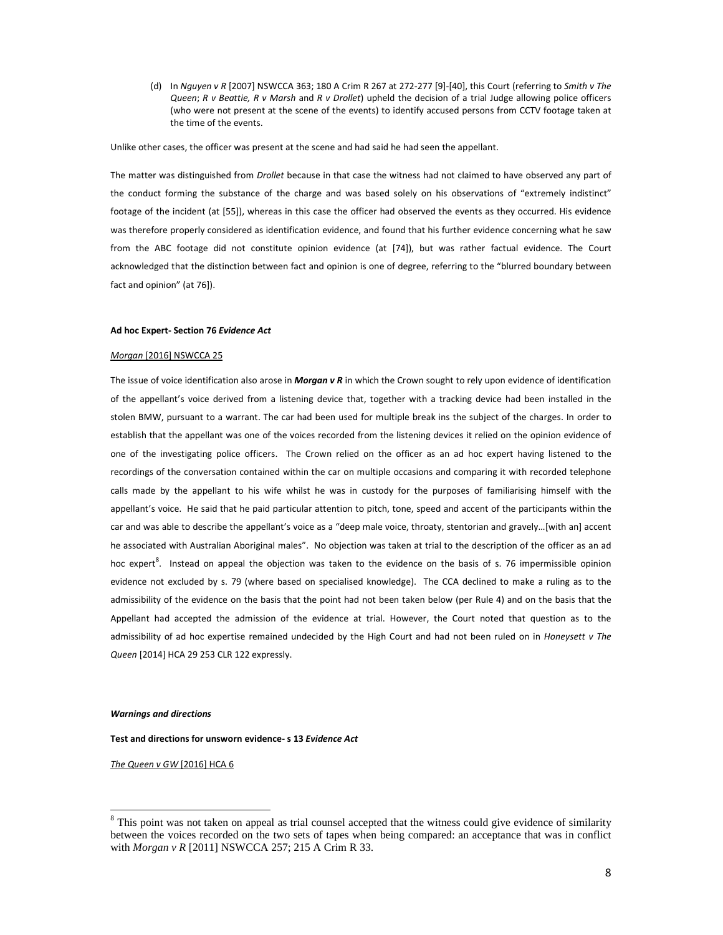(d) In *Nguyen v R* [2007] NSWCCA 363; 180 A Crim R 267 at 272-277 [9]-[40], this Court (referring to *Smith v The Queen*; *R v Beattie, R v Marsh* and *R v Drollet*) upheld the decision of a trial Judge allowing police officers (who were not present at the scene of the events) to identify accused persons from CCTV footage taken at the time of the events.

Unlike other cases, the officer was present at the scene and had said he had seen the appellant.

The matter was distinguished from *Drollet* because in that case the witness had not claimed to have observed any part of the conduct forming the substance of the charge and was based solely on his observations of "extremely indistinct" footage of the incident (at [55]), whereas in this case the officer had observed the events as they occurred. His evidence was therefore properly considered as identification evidence, and found that his further evidence concerning what he saw from the ABC footage did not constitute opinion evidence (at [74]), but was rather factual evidence. The Court acknowledged that the distinction between fact and opinion is one of degree, referring to the "blurred boundary between fact and opinion" (at 76]).

#### **Ad hoc Expert- Section 76** *Evidence Act*

#### *Morgan* [2016] NSWCCA 25

The issue of voice identification also arose in *Morgan v R* in which the Crown sought to rely upon evidence of identification of the appellant's voice derived from a listening device that, together with a tracking device had been installed in the stolen BMW, pursuant to a warrant. The car had been used for multiple break ins the subject of the charges. In order to establish that the appellant was one of the voices recorded from the listening devices it relied on the opinion evidence of one of the investigating police officers. The Crown relied on the officer as an ad hoc expert having listened to the recordings of the conversation contained within the car on multiple occasions and comparing it with recorded telephone calls made by the appellant to his wife whilst he was in custody for the purposes of familiarising himself with the appellant's voice. He said that he paid particular attention to pitch, tone, speed and accent of the participants within the car and was able to describe the appellant's voice as a "deep male voice, throaty, stentorian and gravely…[with an] accent he associated with Australian Aboriginal males". No objection was taken at trial to the description of the officer as an ad hoc expert<sup>8</sup>. Instead on appeal the objection was taken to the evidence on the basis of s. 76 impermissible opinion evidence not excluded by s. 79 (where based on specialised knowledge). The CCA declined to make a ruling as to the admissibility of the evidence on the basis that the point had not been taken below (per Rule 4) and on the basis that the Appellant had accepted the admission of the evidence at trial. However, the Court noted that question as to the admissibility of ad hoc expertise remained undecided by the High Court and had not been ruled on in *Honeysett v The Queen* [2014] HCA 29 253 CLR 122 expressly.

#### *Warnings and directions*

 $\overline{a}$ 

**Test and directions for unsworn evidence- s 13** *Evidence Act*

*The Queen v GW* [2016] HCA 6

<sup>&</sup>lt;sup>8</sup> This point was not taken on appeal as trial counsel accepted that the witness could give evidence of similarity between the voices recorded on the two sets of tapes when being compared: an acceptance that was in conflict with *Morgan v R* [2011] NSWCCA 257; 215 A Crim R 33.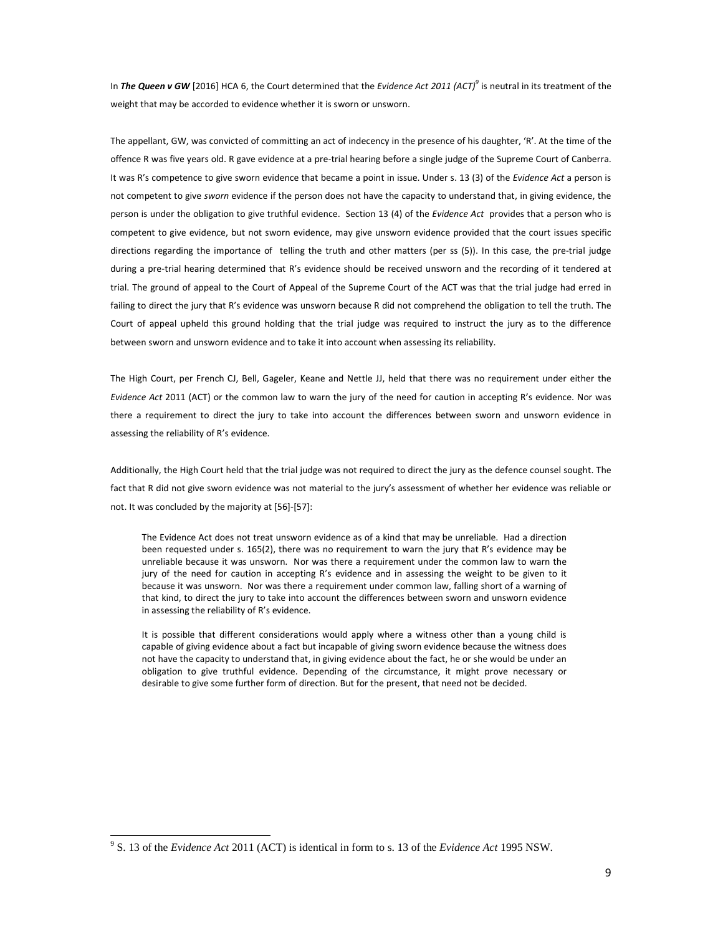In *The Queen v GW* [2016] HCA 6, the Court determined that the *Evidence Act 2011 (ACT)<sup>9</sup>* is neutral in its treatment of the weight that may be accorded to evidence whether it is sworn or unsworn.

The appellant, GW, was convicted of committing an act of indecency in the presence of his daughter, 'R'. At the time of the offence R was five years old. R gave evidence at a pre-trial hearing before a single judge of the Supreme Court of Canberra. It was R's competence to give sworn evidence that became a point in issue. Under s. 13 (3) of the *Evidence Act* a person is not competent to give *sworn* evidence if the person does not have the capacity to understand that, in giving evidence, the person is under the obligation to give truthful evidence. Section 13 (4) of the *Evidence Act* provides that a person who is competent to give evidence, but not sworn evidence, may give unsworn evidence provided that the court issues specific directions regarding the importance of telling the truth and other matters (per ss (5)). In this case, the pre-trial judge during a pre-trial hearing determined that R's evidence should be received unsworn and the recording of it tendered at trial. The ground of appeal to the Court of Appeal of the Supreme Court of the ACT was that the trial judge had erred in failing to direct the jury that R's evidence was unsworn because R did not comprehend the obligation to tell the truth. The Court of appeal upheld this ground holding that the trial judge was required to instruct the jury as to the difference between sworn and unsworn evidence and to take it into account when assessing its reliability.

The High Court, per French CJ, Bell, Gageler, Keane and Nettle JJ, held that there was no requirement under either the *Evidence Act* 2011 (ACT) or the common law to warn the jury of the need for caution in accepting R's evidence. Nor was there a requirement to direct the jury to take into account the differences between sworn and unsworn evidence in assessing the reliability of R's evidence.

Additionally, the High Court held that the trial judge was not required to direct the jury as the defence counsel sought. The fact that R did not give sworn evidence was not material to the jury's assessment of whether her evidence was reliable or not. It was concluded by the majority at [56]-[57]:

The Evidence Act does not treat unsworn evidence as of a kind that may be unreliable. Had a direction been requested under s. 165(2), there was no requirement to warn the jury that R's evidence may be unreliable because it was unsworn. Nor was there a requirement under the common law to warn the jury of the need for caution in accepting R's evidence and in assessing the weight to be given to it because it was unsworn. Nor was there a requirement under common law, falling short of a warning of that kind, to direct the jury to take into account the differences between sworn and unsworn evidence in assessing the reliability of R's evidence.

It is possible that different considerations would apply where a witness other than a young child is capable of giving evidence about a fact but incapable of giving sworn evidence because the witness does not have the capacity to understand that, in giving evidence about the fact, he or she would be under an obligation to give truthful evidence. Depending of the circumstance, it might prove necessary or desirable to give some further form of direction. But for the present, that need not be decided.

l,

<sup>9</sup> S. 13 of the *Evidence Act* 2011 (ACT) is identical in form to s. 13 of the *Evidence Act* 1995 NSW.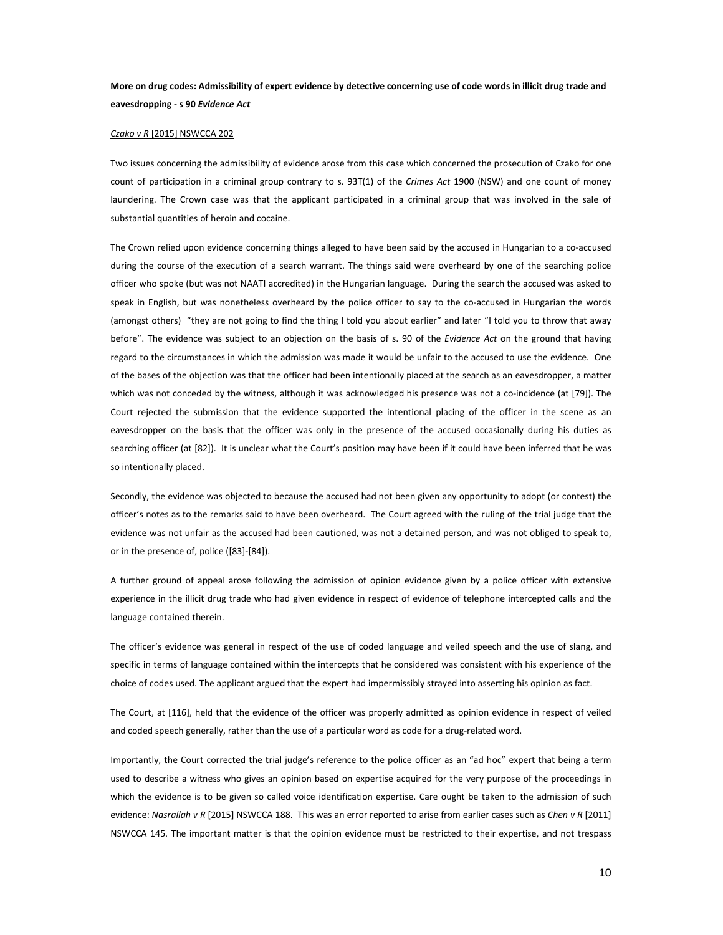# **More on drug codes: Admissibility of expert evidence by detective concerning use of code words in illicit drug trade and eavesdropping - s 90** *Evidence Act*

## *Czako v R* [2015] NSWCCA 202

Two issues concerning the admissibility of evidence arose from this case which concerned the prosecution of Czako for one count of participation in a criminal group contrary to s. 93T(1) of the *Crimes Act* 1900 (NSW) and one count of money laundering. The Crown case was that the applicant participated in a criminal group that was involved in the sale of substantial quantities of heroin and cocaine.

The Crown relied upon evidence concerning things alleged to have been said by the accused in Hungarian to a co-accused during the course of the execution of a search warrant. The things said were overheard by one of the searching police officer who spoke (but was not NAATI accredited) in the Hungarian language. During the search the accused was asked to speak in English, but was nonetheless overheard by the police officer to say to the co-accused in Hungarian the words (amongst others) "they are not going to find the thing I told you about earlier" and later "I told you to throw that away before". The evidence was subject to an objection on the basis of s. 90 of the *Evidence Act* on the ground that having regard to the circumstances in which the admission was made it would be unfair to the accused to use the evidence. One of the bases of the objection was that the officer had been intentionally placed at the search as an eavesdropper, a matter which was not conceded by the witness, although it was acknowledged his presence was not a co-incidence (at [79]). The Court rejected the submission that the evidence supported the intentional placing of the officer in the scene as an eavesdropper on the basis that the officer was only in the presence of the accused occasionally during his duties as searching officer (at [82]). It is unclear what the Court's position may have been if it could have been inferred that he was so intentionally placed.

Secondly, the evidence was objected to because the accused had not been given any opportunity to adopt (or contest) the officer's notes as to the remarks said to have been overheard. The Court agreed with the ruling of the trial judge that the evidence was not unfair as the accused had been cautioned, was not a detained person, and was not obliged to speak to, or in the presence of, police ([83]-[84]).

A further ground of appeal arose following the admission of opinion evidence given by a police officer with extensive experience in the illicit drug trade who had given evidence in respect of evidence of telephone intercepted calls and the language contained therein.

The officer's evidence was general in respect of the use of coded language and veiled speech and the use of slang, and specific in terms of language contained within the intercepts that he considered was consistent with his experience of the choice of codes used. The applicant argued that the expert had impermissibly strayed into asserting his opinion as fact.

The Court, at [116], held that the evidence of the officer was properly admitted as opinion evidence in respect of veiled and coded speech generally, rather than the use of a particular word as code for a drug-related word.

Importantly, the Court corrected the trial judge's reference to the police officer as an "ad hoc" expert that being a term used to describe a witness who gives an opinion based on expertise acquired for the very purpose of the proceedings in which the evidence is to be given so called voice identification expertise. Care ought be taken to the admission of such evidence: *Nasrallah v R* [2015] NSWCCA 188. This was an error reported to arise from earlier cases such as *Chen v R* [2011] NSWCCA 145. The important matter is that the opinion evidence must be restricted to their expertise, and not trespass